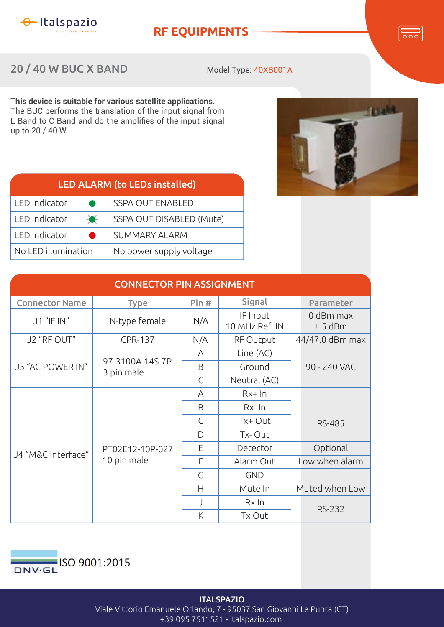

LED indicator

LED indicator

LED indicator

No LED illumination

## **RF EQUIPMENTS**

**Tould** 

20 / 40 W BUC X BAND

LED ALARM (t

Model Type: 40XB001A

T**his device is suitable for various satellite applications.** The BUC performs the translation of the input signal from L Band to C Band and do the amplifies of the input signal up to 20 / 40 W.

SUMMARY ALARM

No power supply voltage

| (to LEDs installed)      |  |
|--------------------------|--|
| <b>SSPA OUT ENABLED</b>  |  |
| SSPA OUT DISABLED (Mute) |  |
|                          |  |

| <b>CONNECTOR PIN ASSIGNMENT</b> |                                |      |                            |                        |  |  |  |
|---------------------------------|--------------------------------|------|----------------------------|------------------------|--|--|--|
| <b>Connector Name</b>           | <b>Type</b>                    | Pin# | Signal                     | Parameter              |  |  |  |
| J1 "IF IN"                      | N-type female                  | N/A  | IF Input<br>10 MHz Ref. IN | 0 dBm max<br>$± 5$ dBm |  |  |  |
| J2 "RF OUT"                     | <b>CPR-137</b>                 | N/A  | RF Output                  | 44/47.0 dBm max        |  |  |  |
| J3 "AC POWER IN"                | 97-3100A-14S-7P<br>3 pin male  | A    | Line (AC)                  |                        |  |  |  |
|                                 |                                | B    | Ground                     | 90 - 240 VAC           |  |  |  |
|                                 |                                | C    | Neutral (AC)               |                        |  |  |  |
| J4 "M&C Interface"              | PT02E12-10P-027<br>10 pin male | A    | $Rx+In$                    |                        |  |  |  |
|                                 |                                | B    | $Rx-1$                     |                        |  |  |  |
|                                 |                                | C    | Tx+ Out                    | <b>RS-485</b>          |  |  |  |
|                                 |                                | D    | Tx-Out                     |                        |  |  |  |
|                                 |                                | E    | Detector                   | Optional               |  |  |  |
|                                 |                                | F    | Alarm Out                  | Low when alarm         |  |  |  |
|                                 |                                | G    | <b>GND</b>                 |                        |  |  |  |
|                                 |                                | H    | Mute In                    | Muted when Low         |  |  |  |
|                                 |                                |      | $Rx \ln$                   |                        |  |  |  |
|                                 |                                | K    | Tx Out                     | <b>RS-232</b>          |  |  |  |